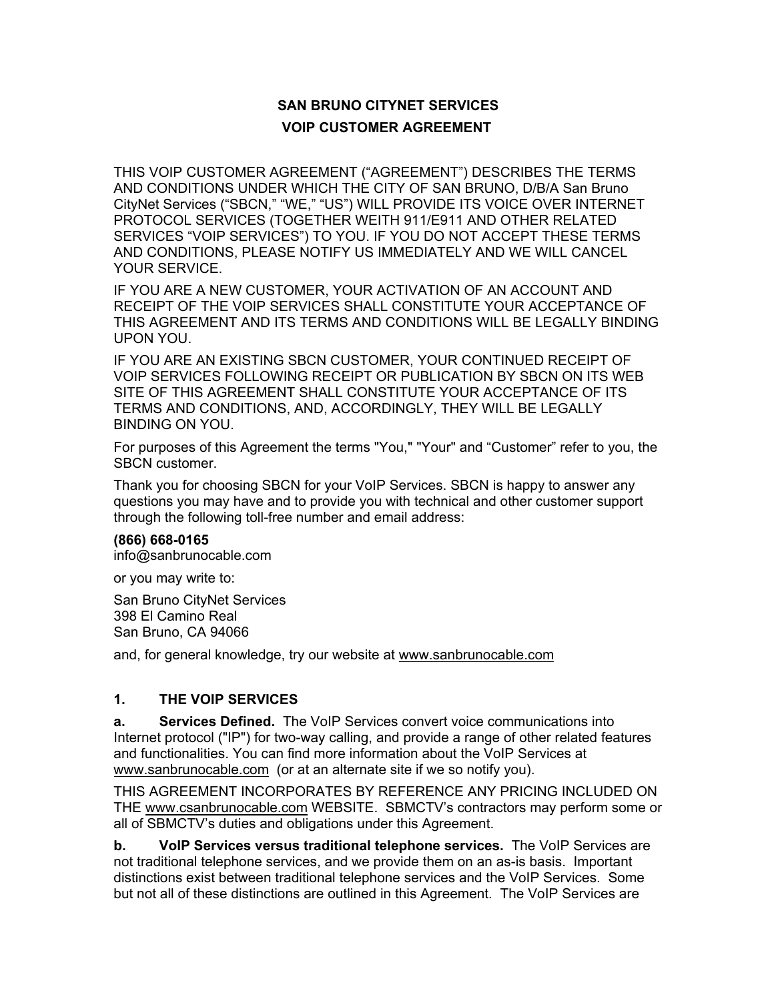# **SAN BRUNO CITYNET SERVICES VOIP CUSTOMER AGREEMENT**

THIS VOIP CUSTOMER AGREEMENT ("AGREEMENT") DESCRIBES THE TERMS AND CONDITIONS UNDER WHICH THE CITY OF SAN BRUNO, D/B/A San Bruno CityNet Services ("SBCN," "WE," "US") WILL PROVIDE ITS VOICE OVER INTERNET PROTOCOL SERVICES (TOGETHER WEITH 911/E911 AND OTHER RELATED SERVICES "VOIP SERVICES") TO YOU. IF YOU DO NOT ACCEPT THESE TERMS AND CONDITIONS, PLEASE NOTIFY US IMMEDIATELY AND WE WILL CANCEL YOUR SERVICE.

IF YOU ARE A NEW CUSTOMER, YOUR ACTIVATION OF AN ACCOUNT AND RECEIPT OF THE VOIP SERVICES SHALL CONSTITUTE YOUR ACCEPTANCE OF THIS AGREEMENT AND ITS TERMS AND CONDITIONS WILL BE LEGALLY BINDING UPON YOU.

IF YOU ARE AN EXISTING SBCN CUSTOMER, YOUR CONTINUED RECEIPT OF VOIP SERVICES FOLLOWING RECEIPT OR PUBLICATION BY SBCN ON ITS WEB SITE OF THIS AGREEMENT SHALL CONSTITUTE YOUR ACCEPTANCE OF ITS TERMS AND CONDITIONS, AND, ACCORDINGLY, THEY WILL BE LEGALLY BINDING ON YOU.

For purposes of this Agreement the terms "You," "Your" and "Customer" refer to you, the SBCN customer.

Thank you for choosing SBCN for your VoIP Services. SBCN is happy to answer any questions you may have and to provide you with technical and other customer support through the following toll-free number and email address:

#### **(866) 668-0165**

info@sanbrunocable.com

or you may write to:

San Bruno CityNet Services 398 El Camino Real San Bruno, CA 94066

and, for general knowledge, try our website at www.sanbrunocable.com

#### **1. THE VOIP SERVICES**

**a. Services Defined.** The VoIP Services convert voice communications into Internet protocol ("IP") for two-way calling, and provide a range of other related features and functionalities. You can find more information about the VoIP Services at www.sanbrunocable.com (or at an alternate site if we so notify you).

THIS AGREEMENT INCORPORATES BY REFERENCE ANY PRICING INCLUDED ON THE www.csanbrunocable.com WEBSITE. SBMCTV's contractors may perform some or all of SBMCTV's duties and obligations under this Agreement.

**b. VoIP Services versus traditional telephone services.** The VoIP Services are not traditional telephone services, and we provide them on an as-is basis. Important distinctions exist between traditional telephone services and the VoIP Services. Some but not all of these distinctions are outlined in this Agreement. The VoIP Services are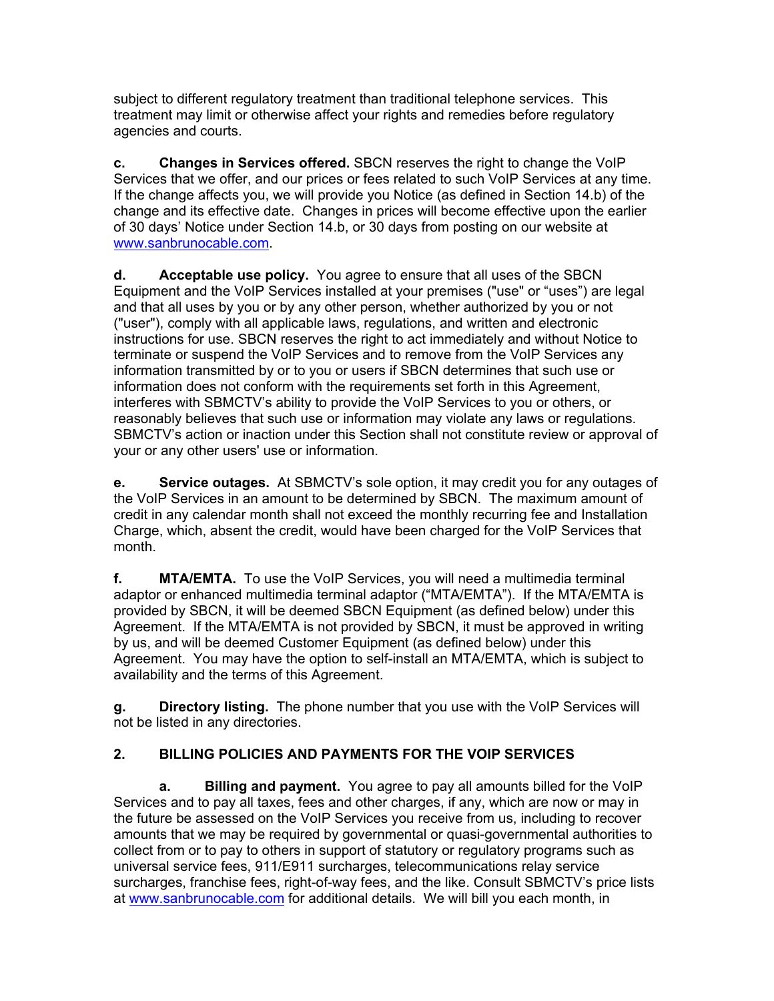subject to different regulatory treatment than traditional telephone services. This treatment may limit or otherwise affect your rights and remedies before regulatory agencies and courts.

**c. Changes in Services offered.** SBCN reserves the right to change the VoIP Services that we offer, and our prices or fees related to such VoIP Services at any time. If the change affects you, we will provide you Notice (as defined in Section 14.b) of the change and its effective date. Changes in prices will become effective upon the earlier of 30 days' Notice under Section 14.b, or 30 days from posting on our website at www.sanbrunocable.com.

**d. Acceptable use policy.** You agree to ensure that all uses of the SBCN Equipment and the VoIP Services installed at your premises ("use" or "uses") are legal and that all uses by you or by any other person, whether authorized by you or not ("user"), comply with all applicable laws, regulations, and written and electronic instructions for use. SBCN reserves the right to act immediately and without Notice to terminate or suspend the VoIP Services and to remove from the VoIP Services any information transmitted by or to you or users if SBCN determines that such use or information does not conform with the requirements set forth in this Agreement, interferes with SBMCTV's ability to provide the VoIP Services to you or others, or reasonably believes that such use or information may violate any laws or regulations. SBMCTV's action or inaction under this Section shall not constitute review or approval of your or any other users' use or information.

**e. Service outages.** At SBMCTV's sole option, it may credit you for any outages of the VoIP Services in an amount to be determined by SBCN. The maximum amount of credit in any calendar month shall not exceed the monthly recurring fee and Installation Charge, which, absent the credit, would have been charged for the VoIP Services that month.

**f. MTA/EMTA.** To use the VoIP Services, you will need a multimedia terminal adaptor or enhanced multimedia terminal adaptor ("MTA/EMTA"). If the MTA/EMTA is provided by SBCN, it will be deemed SBCN Equipment (as defined below) under this Agreement. If the MTA/EMTA is not provided by SBCN, it must be approved in writing by us, and will be deemed Customer Equipment (as defined below) under this Agreement. You may have the option to self-install an MTA/EMTA, which is subject to availability and the terms of this Agreement.

**g. Directory listing.** The phone number that you use with the VoIP Services will not be listed in any directories.

## **2. BILLING POLICIES AND PAYMENTS FOR THE VOIP SERVICES**

**a. Billing and payment.** You agree to pay all amounts billed for the VoIP Services and to pay all taxes, fees and other charges, if any, which are now or may in the future be assessed on the VoIP Services you receive from us, including to recover amounts that we may be required by governmental or quasi-governmental authorities to collect from or to pay to others in support of statutory or regulatory programs such as universal service fees, 911/E911 surcharges, telecommunications relay service surcharges, franchise fees, right-of-way fees, and the like. Consult SBMCTV's price lists at www.sanbrunocable.com for additional details. We will bill you each month, in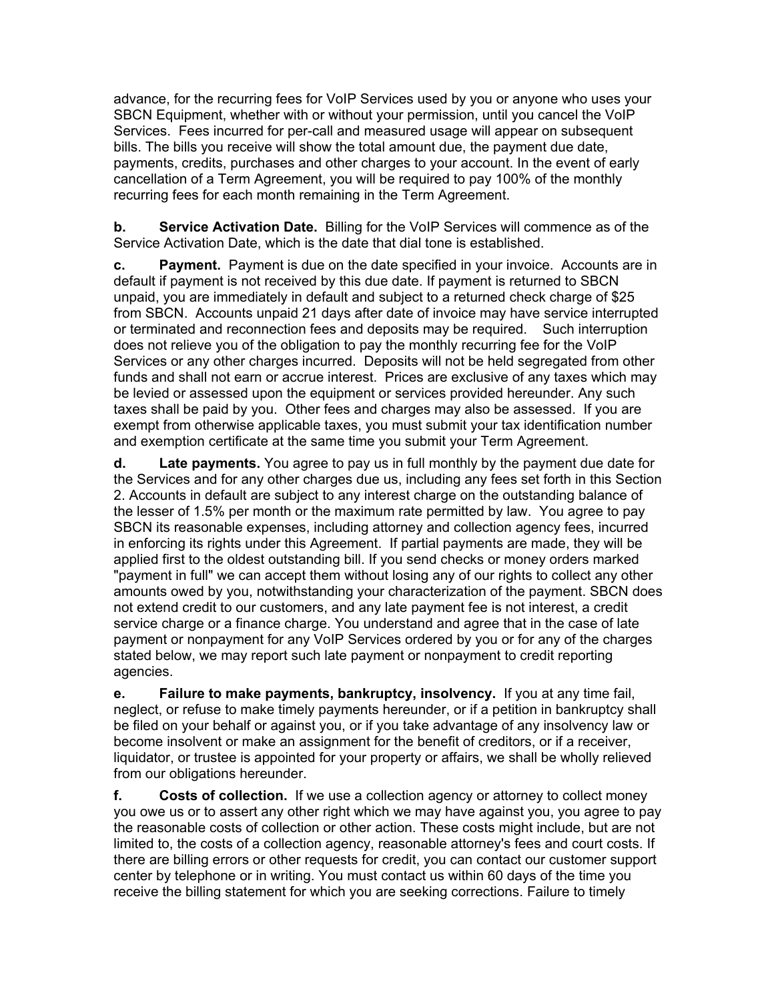advance, for the recurring fees for VoIP Services used by you or anyone who uses your SBCN Equipment, whether with or without your permission, until you cancel the VoIP Services. Fees incurred for per-call and measured usage will appear on subsequent bills. The bills you receive will show the total amount due, the payment due date, payments, credits, purchases and other charges to your account. In the event of early cancellation of a Term Agreement, you will be required to pay 100% of the monthly recurring fees for each month remaining in the Term Agreement.

**b. Service Activation Date.** Billing for the VoIP Services will commence as of the Service Activation Date, which is the date that dial tone is established.

**c. Payment.** Payment is due on the date specified in your invoice. Accounts are in default if payment is not received by this due date. If payment is returned to SBCN unpaid, you are immediately in default and subject to a returned check charge of \$25 from SBCN. Accounts unpaid 21 days after date of invoice may have service interrupted or terminated and reconnection fees and deposits may be required. Such interruption does not relieve you of the obligation to pay the monthly recurring fee for the VoIP Services or any other charges incurred. Deposits will not be held segregated from other funds and shall not earn or accrue interest. Prices are exclusive of any taxes which may be levied or assessed upon the equipment or services provided hereunder. Any such taxes shall be paid by you. Other fees and charges may also be assessed. If you are exempt from otherwise applicable taxes, you must submit your tax identification number and exemption certificate at the same time you submit your Term Agreement.

**d. Late payments.** You agree to pay us in full monthly by the payment due date for the Services and for any other charges due us, including any fees set forth in this Section 2. Accounts in default are subject to any interest charge on the outstanding balance of the lesser of 1.5% per month or the maximum rate permitted by law. You agree to pay SBCN its reasonable expenses, including attorney and collection agency fees, incurred in enforcing its rights under this Agreement. If partial payments are made, they will be applied first to the oldest outstanding bill. If you send checks or money orders marked "payment in full" we can accept them without losing any of our rights to collect any other amounts owed by you, notwithstanding your characterization of the payment. SBCN does not extend credit to our customers, and any late payment fee is not interest, a credit service charge or a finance charge. You understand and agree that in the case of late payment or nonpayment for any VoIP Services ordered by you or for any of the charges stated below, we may report such late payment or nonpayment to credit reporting agencies.

**e. Failure to make payments, bankruptcy, insolvency.** If you at any time fail, neglect, or refuse to make timely payments hereunder, or if a petition in bankruptcy shall be filed on your behalf or against you, or if you take advantage of any insolvency law or become insolvent or make an assignment for the benefit of creditors, or if a receiver, liquidator, or trustee is appointed for your property or affairs, we shall be wholly relieved from our obligations hereunder.

**f. Costs of collection.** If we use a collection agency or attorney to collect money you owe us or to assert any other right which we may have against you, you agree to pay the reasonable costs of collection or other action. These costs might include, but are not limited to, the costs of a collection agency, reasonable attorney's fees and court costs. If there are billing errors or other requests for credit, you can contact our customer support center by telephone or in writing. You must contact us within 60 days of the time you receive the billing statement for which you are seeking corrections. Failure to timely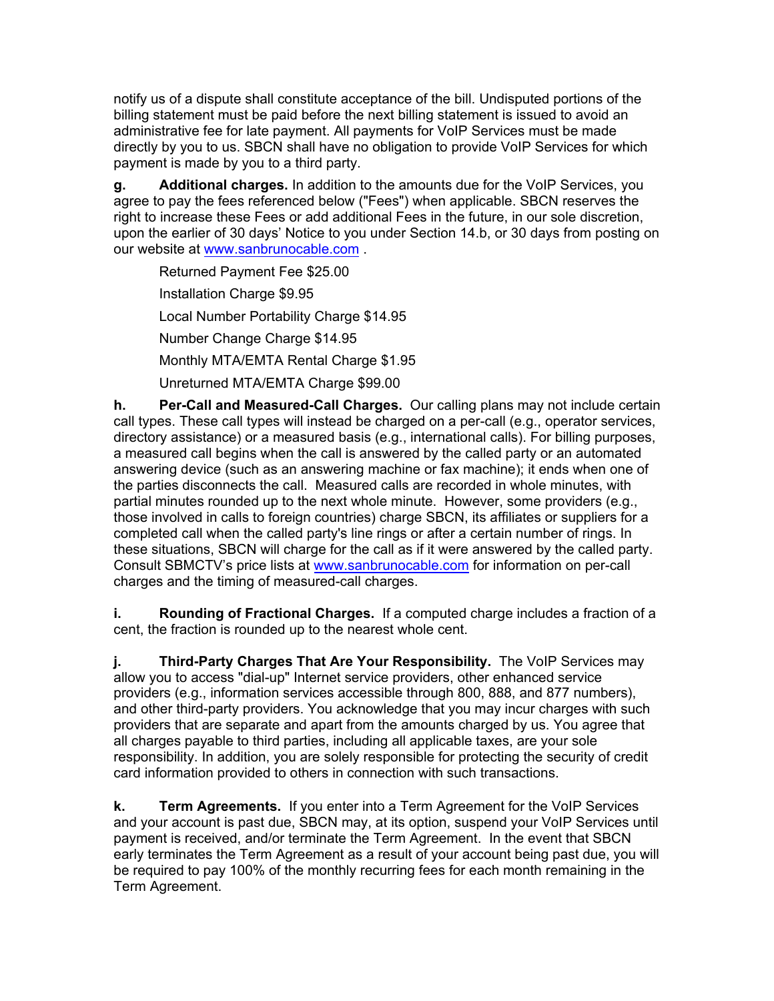notify us of a dispute shall constitute acceptance of the bill. Undisputed portions of the billing statement must be paid before the next billing statement is issued to avoid an administrative fee for late payment. All payments for VoIP Services must be made directly by you to us. SBCN shall have no obligation to provide VoIP Services for which payment is made by you to a third party.

**g. Additional charges.** In addition to the amounts due for the VoIP Services, you agree to pay the fees referenced below ("Fees") when applicable. SBCN reserves the right to increase these Fees or add additional Fees in the future, in our sole discretion, upon the earlier of 30 days' Notice to you under Section 14.b, or 30 days from posting on our website at www.sanbrunocable.com .

Returned Payment Fee \$25.00 Installation Charge \$9.95 Local Number Portability Charge \$14.95 Number Change Charge \$14.95 Monthly MTA/EMTA Rental Charge \$1.95 Unreturned MTA/EMTA Charge \$99.00

**h. Per-Call and Measured-Call Charges.** Our calling plans may not include certain call types. These call types will instead be charged on a per-call (e.g., operator services, directory assistance) or a measured basis (e.g., international calls). For billing purposes, a measured call begins when the call is answered by the called party or an automated answering device (such as an answering machine or fax machine); it ends when one of the parties disconnects the call. Measured calls are recorded in whole minutes, with partial minutes rounded up to the next whole minute. However, some providers (e.g., those involved in calls to foreign countries) charge SBCN, its affiliates or suppliers for a completed call when the called party's line rings or after a certain number of rings. In these situations, SBCN will charge for the call as if it were answered by the called party. Consult SBMCTV's price lists at www.sanbrunocable.com for information on per-call charges and the timing of measured-call charges.

**i. Rounding of Fractional Charges.** If a computed charge includes a fraction of a cent, the fraction is rounded up to the nearest whole cent.

**j. Third-Party Charges That Are Your Responsibility.** The VoIP Services may allow you to access "dial-up" Internet service providers, other enhanced service providers (e.g., information services accessible through 800, 888, and 877 numbers), and other third-party providers. You acknowledge that you may incur charges with such providers that are separate and apart from the amounts charged by us. You agree that all charges payable to third parties, including all applicable taxes, are your sole responsibility. In addition, you are solely responsible for protecting the security of credit card information provided to others in connection with such transactions.

**k. Term Agreements.** If you enter into a Term Agreement for the VoIP Services and your account is past due, SBCN may, at its option, suspend your VoIP Services until payment is received, and/or terminate the Term Agreement. In the event that SBCN early terminates the Term Agreement as a result of your account being past due, you will be required to pay 100% of the monthly recurring fees for each month remaining in the Term Agreement.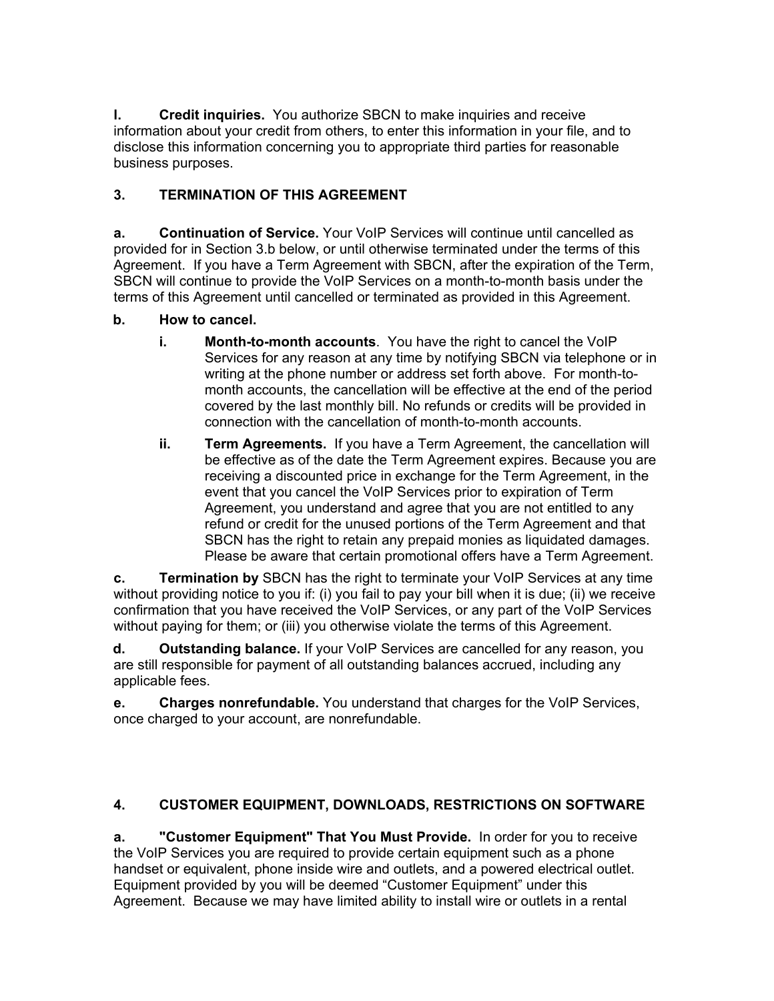**l. Credit inquiries.** You authorize SBCN to make inquiries and receive information about your credit from others, to enter this information in your file, and to disclose this information concerning you to appropriate third parties for reasonable business purposes.

## **3. TERMINATION OF THIS AGREEMENT**

**a. Continuation of Service.** Your VoIP Services will continue until cancelled as provided for in Section 3.b below, or until otherwise terminated under the terms of this Agreement. If you have a Term Agreement with SBCN, after the expiration of the Term, SBCN will continue to provide the VoIP Services on a month-to-month basis under the terms of this Agreement until cancelled or terminated as provided in this Agreement.

### **b. How to cancel.**

- **i. Month-to-month accounts**. You have the right to cancel the VoIP Services for any reason at any time by notifying SBCN via telephone or in writing at the phone number or address set forth above. For month-tomonth accounts, the cancellation will be effective at the end of the period covered by the last monthly bill. No refunds or credits will be provided in connection with the cancellation of month-to-month accounts.
- **ii. Term Agreements.** If you have a Term Agreement, the cancellation will be effective as of the date the Term Agreement expires. Because you are receiving a discounted price in exchange for the Term Agreement, in the event that you cancel the VoIP Services prior to expiration of Term Agreement, you understand and agree that you are not entitled to any refund or credit for the unused portions of the Term Agreement and that SBCN has the right to retain any prepaid monies as liquidated damages. Please be aware that certain promotional offers have a Term Agreement.

**c. Termination by** SBCN has the right to terminate your VoIP Services at any time without providing notice to you if: (i) you fail to pay your bill when it is due; (ii) we receive confirmation that you have received the VoIP Services, or any part of the VoIP Services without paying for them; or (iii) you otherwise violate the terms of this Agreement.

**d. Outstanding balance.** If your VoIP Services are cancelled for any reason, you are still responsible for payment of all outstanding balances accrued, including any applicable fees.

**e. Charges nonrefundable.** You understand that charges for the VoIP Services, once charged to your account, are nonrefundable.

### **4. CUSTOMER EQUIPMENT, DOWNLOADS, RESTRICTIONS ON SOFTWARE**

**a. "Customer Equipment" That You Must Provide.** In order for you to receive the VoIP Services you are required to provide certain equipment such as a phone handset or equivalent, phone inside wire and outlets, and a powered electrical outlet. Equipment provided by you will be deemed "Customer Equipment" under this Agreement. Because we may have limited ability to install wire or outlets in a rental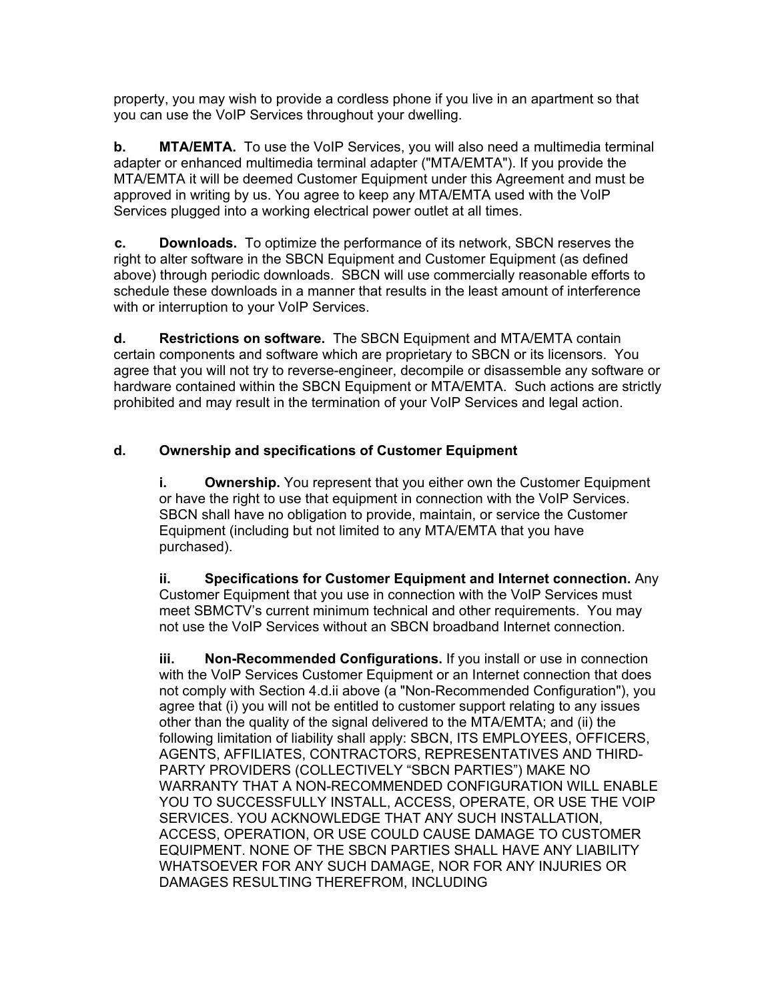property, you may wish to provide a cordless phone if you live in an apartment so that you can use the VoIP Services throughout your dwelling.

**b. MTA/EMTA.** To use the VoIP Services, you will also need a multimedia terminal adapter or enhanced multimedia terminal adapter ("MTA/EMTA"). If you provide the MTA/EMTA it will be deemed Customer Equipment under this Agreement and must be approved in writing by us. You agree to keep any MTA/EMTA used with the VoIP Services plugged into a working electrical power outlet at all times.

**c. Downloads.** To optimize the performance of its network, SBCN reserves the right to alter software in the SBCN Equipment and Customer Equipment (as defined above) through periodic downloads. SBCN will use commercially reasonable efforts to schedule these downloads in a manner that results in the least amount of interference with or interruption to your VoIP Services.

**d. Restrictions on software.** The SBCN Equipment and MTA/EMTA contain certain components and software which are proprietary to SBCN or its licensors. You agree that you will not try to reverse-engineer, decompile or disassemble any software or hardware contained within the SBCN Equipment or MTA/EMTA. Such actions are strictly prohibited and may result in the termination of your VoIP Services and legal action.

### **d. Ownership and specifications of Customer Equipment**

**i. Ownership.** You represent that you either own the Customer Equipment or have the right to use that equipment in connection with the VoIP Services. SBCN shall have no obligation to provide, maintain, or service the Customer Equipment (including but not limited to any MTA/EMTA that you have purchased).

**ii. Specifications for Customer Equipment and Internet connection.** Any Customer Equipment that you use in connection with the VoIP Services must meet SBMCTV's current minimum technical and other requirements. You may not use the VoIP Services without an SBCN broadband Internet connection.

**iii. Non-Recommended Configurations.** If you install or use in connection with the VoIP Services Customer Equipment or an Internet connection that does not comply with Section 4.d.ii above (a "Non-Recommended Configuration"), you agree that (i) you will not be entitled to customer support relating to any issues other than the quality of the signal delivered to the MTA/EMTA; and (ii) the following limitation of liability shall apply: SBCN, ITS EMPLOYEES, OFFICERS, AGENTS, AFFILIATES, CONTRACTORS, REPRESENTATIVES AND THIRD-PARTY PROVIDERS (COLLECTIVELY "SBCN PARTIES") MAKE NO WARRANTY THAT A NON-RECOMMENDED CONFIGURATION WILL ENABLE YOU TO SUCCESSFULLY INSTALL, ACCESS, OPERATE, OR USE THE VOIP SERVICES. YOU ACKNOWLEDGE THAT ANY SUCH INSTALLATION, ACCESS, OPERATION, OR USE COULD CAUSE DAMAGE TO CUSTOMER EQUIPMENT. NONE OF THE SBCN PARTIES SHALL HAVE ANY LIABILITY WHATSOEVER FOR ANY SUCH DAMAGE, NOR FOR ANY INJURIES OR DAMAGES RESULTING THEREFROM, INCLUDING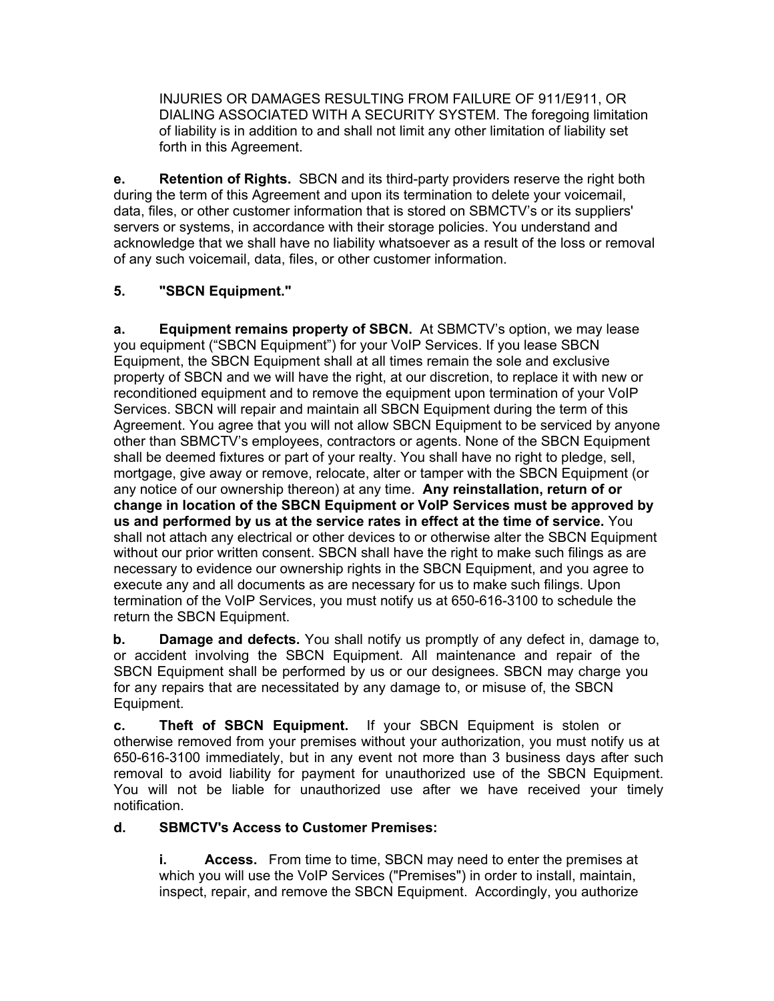INJURIES OR DAMAGES RESULTING FROM FAILURE OF 911/E911, OR DIALING ASSOCIATED WITH A SECURITY SYSTEM. The foregoing limitation of liability is in addition to and shall not limit any other limitation of liability set forth in this Agreement.

**e. Retention of Rights.** SBCN and its third-party providers reserve the right both during the term of this Agreement and upon its termination to delete your voicemail, data, files, or other customer information that is stored on SBMCTV's or its suppliers' servers or systems, in accordance with their storage policies. You understand and acknowledge that we shall have no liability whatsoever as a result of the loss or removal of any such voicemail, data, files, or other customer information.

## **5. "SBCN Equipment."**

**a. Equipment remains property of SBCN.** At SBMCTV's option, we may lease you equipment ("SBCN Equipment") for your VoIP Services. If you lease SBCN Equipment, the SBCN Equipment shall at all times remain the sole and exclusive property of SBCN and we will have the right, at our discretion, to replace it with new or reconditioned equipment and to remove the equipment upon termination of your VoIP Services. SBCN will repair and maintain all SBCN Equipment during the term of this Agreement. You agree that you will not allow SBCN Equipment to be serviced by anyone other than SBMCTV's employees, contractors or agents. None of the SBCN Equipment shall be deemed fixtures or part of your realty. You shall have no right to pledge, sell, mortgage, give away or remove, relocate, alter or tamper with the SBCN Equipment (or any notice of our ownership thereon) at any time. **Any reinstallation, return of or change in location of the SBCN Equipment or VoIP Services must be approved by us and performed by us at the service rates in effect at the time of service.** You shall not attach any electrical or other devices to or otherwise alter the SBCN Equipment without our prior written consent. SBCN shall have the right to make such filings as are necessary to evidence our ownership rights in the SBCN Equipment, and you agree to execute any and all documents as are necessary for us to make such filings. Upon termination of the VoIP Services, you must notify us at 650-616-3100 to schedule the return the SBCN Equipment.

**b. Damage and defects.** You shall notify us promptly of any defect in, damage to, or accident involving the SBCN Equipment. All maintenance and repair of the SBCN Equipment shall be performed by us or our designees. SBCN may charge you for any repairs that are necessitated by any damage to, or misuse of, the SBCN Equipment.

**c. Theft of SBCN Equipment.** If your SBCN Equipment is stolen or otherwise removed from your premises without your authorization, you must notify us at 650-616-3100 immediately, but in any event not more than 3 business days after such removal to avoid liability for payment for unauthorized use of the SBCN Equipment. You will not be liable for unauthorized use after we have received your timely notification.

### **d. SBMCTV's Access to Customer Premises:**

**i. Access.** From time to time, SBCN may need to enter the premises at which you will use the VoIP Services ("Premises") in order to install, maintain, inspect, repair, and remove the SBCN Equipment. Accordingly, you authorize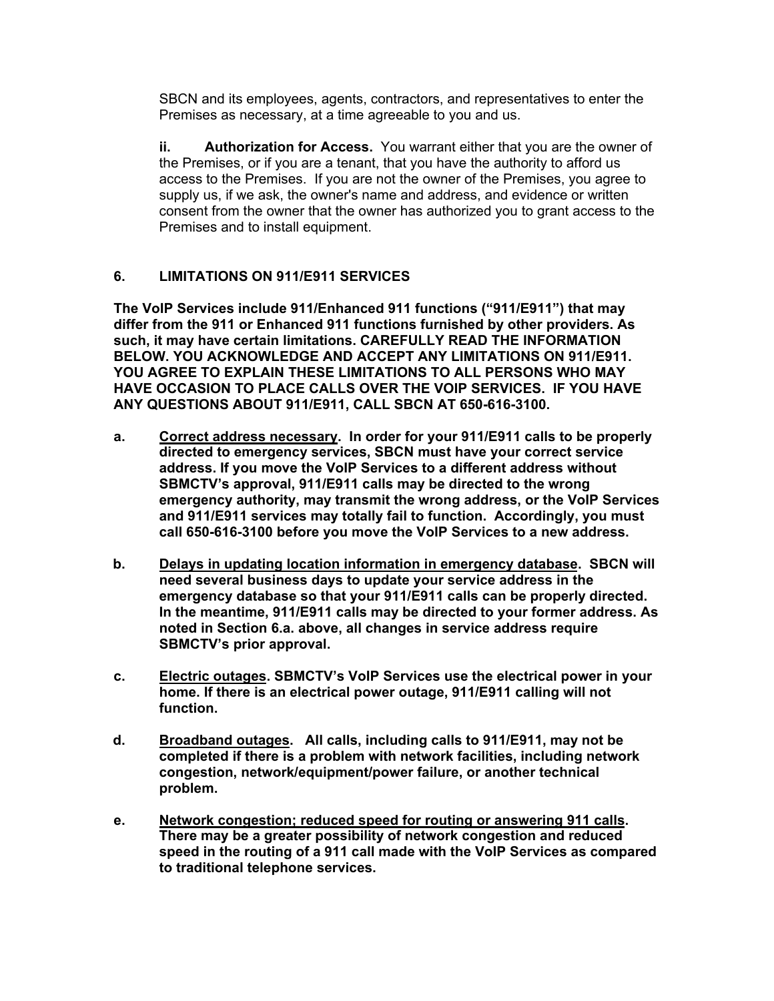SBCN and its employees, agents, contractors, and representatives to enter the Premises as necessary, at a time agreeable to you and us.

**ii. Authorization for Access.** You warrant either that you are the owner of the Premises, or if you are a tenant, that you have the authority to afford us access to the Premises. If you are not the owner of the Premises, you agree to supply us, if we ask, the owner's name and address, and evidence or written consent from the owner that the owner has authorized you to grant access to the Premises and to install equipment.

### **6. LIMITATIONS ON 911/E911 SERVICES**

**The VoIP Services include 911/Enhanced 911 functions ("911/E911") that may differ from the 911 or Enhanced 911 functions furnished by other providers. As such, it may have certain limitations. CAREFULLY READ THE INFORMATION BELOW. YOU ACKNOWLEDGE AND ACCEPT ANY LIMITATIONS ON 911/E911. YOU AGREE TO EXPLAIN THESE LIMITATIONS TO ALL PERSONS WHO MAY HAVE OCCASION TO PLACE CALLS OVER THE VOIP SERVICES. IF YOU HAVE ANY QUESTIONS ABOUT 911/E911, CALL SBCN AT 650-616-3100.** 

- **a. Correct address necessary. In order for your 911/E911 calls to be properly directed to emergency services, SBCN must have your correct service address. If you move the VoIP Services to a different address without SBMCTV's approval, 911/E911 calls may be directed to the wrong emergency authority, may transmit the wrong address, or the VoIP Services and 911/E911 services may totally fail to function. Accordingly, you must call 650-616-3100 before you move the VoIP Services to a new address.**
- **b. Delays in updating location information in emergency database. SBCN will need several business days to update your service address in the emergency database so that your 911/E911 calls can be properly directed. In the meantime, 911/E911 calls may be directed to your former address. As noted in Section 6.a. above, all changes in service address require SBMCTV's prior approval.**
- **c. Electric outages. SBMCTV's VoIP Services use the electrical power in your home. If there is an electrical power outage, 911/E911 calling will not function.**
- **d. Broadband outages. All calls, including calls to 911/E911, may not be completed if there is a problem with network facilities, including network congestion, network/equipment/power failure, or another technical problem.**
- **e. Network congestion; reduced speed for routing or answering 911 calls. There may be a greater possibility of network congestion and reduced speed in the routing of a 911 call made with the VoIP Services as compared to traditional telephone services.**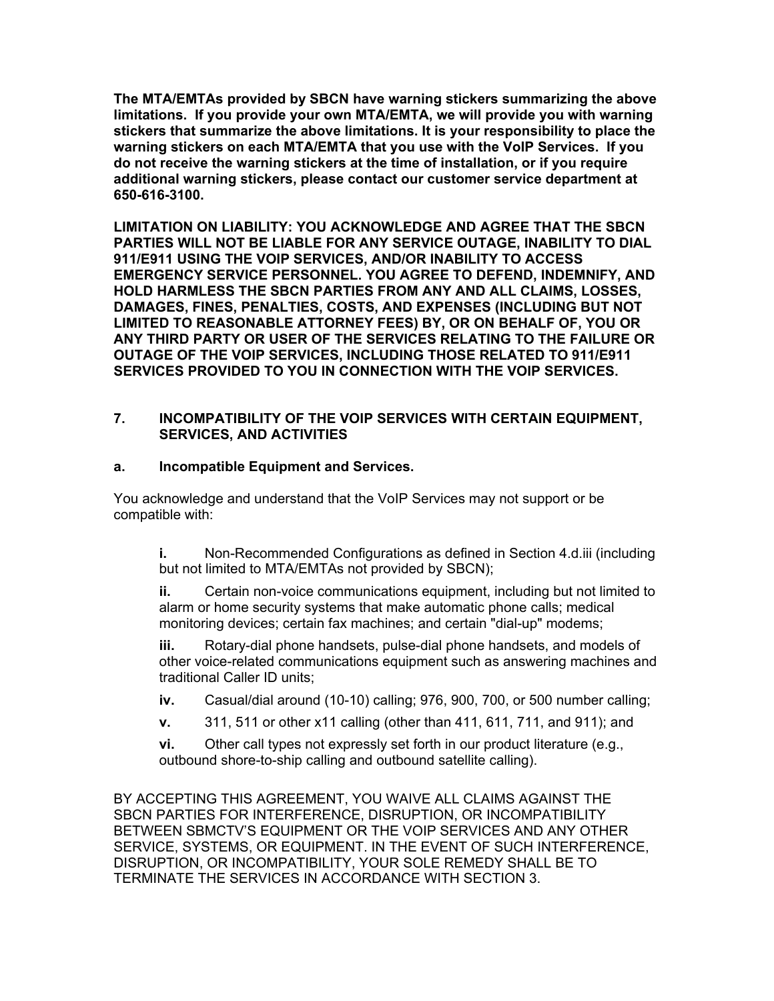**The MTA/EMTAs provided by SBCN have warning stickers summarizing the above limitations. If you provide your own MTA/EMTA, we will provide you with warning stickers that summarize the above limitations. It is your responsibility to place the warning stickers on each MTA/EMTA that you use with the VoIP Services. If you do not receive the warning stickers at the time of installation, or if you require additional warning stickers, please contact our customer service department at 650-616-3100.** 

**LIMITATION ON LIABILITY: YOU ACKNOWLEDGE AND AGREE THAT THE SBCN PARTIES WILL NOT BE LIABLE FOR ANY SERVICE OUTAGE, INABILITY TO DIAL 911/E911 USING THE VOIP SERVICES, AND/OR INABILITY TO ACCESS EMERGENCY SERVICE PERSONNEL. YOU AGREE TO DEFEND, INDEMNIFY, AND HOLD HARMLESS THE SBCN PARTIES FROM ANY AND ALL CLAIMS, LOSSES, DAMAGES, FINES, PENALTIES, COSTS, AND EXPENSES (INCLUDING BUT NOT LIMITED TO REASONABLE ATTORNEY FEES) BY, OR ON BEHALF OF, YOU OR ANY THIRD PARTY OR USER OF THE SERVICES RELATING TO THE FAILURE OR OUTAGE OF THE VOIP SERVICES, INCLUDING THOSE RELATED TO 911/E911 SERVICES PROVIDED TO YOU IN CONNECTION WITH THE VOIP SERVICES.** 

#### **7. INCOMPATIBILITY OF THE VOIP SERVICES WITH CERTAIN EQUIPMENT, SERVICES, AND ACTIVITIES**

#### **a. Incompatible Equipment and Services.**

You acknowledge and understand that the VoIP Services may not support or be compatible with:

**i.** Non-Recommended Configurations as defined in Section 4.d.iii (including but not limited to MTA/EMTAs not provided by SBCN);

**ii.** Certain non-voice communications equipment, including but not limited to alarm or home security systems that make automatic phone calls; medical monitoring devices; certain fax machines; and certain "dial-up" modems;

**iii.** Rotary-dial phone handsets, pulse-dial phone handsets, and models of other voice-related communications equipment such as answering machines and traditional Caller ID units;

**iv.** Casual/dial around (10-10) calling; 976, 900, 700, or 500 number calling;

**v.** 311, 511 or other x11 calling (other than 411, 611, 711, and 911); and

**vi.** Other call types not expressly set forth in our product literature (e.g., outbound shore-to-ship calling and outbound satellite calling).

BY ACCEPTING THIS AGREEMENT, YOU WAIVE ALL CLAIMS AGAINST THE SBCN PARTIES FOR INTERFERENCE, DISRUPTION, OR INCOMPATIBILITY BETWEEN SBMCTV'S EQUIPMENT OR THE VOIP SERVICES AND ANY OTHER SERVICE, SYSTEMS, OR EQUIPMENT. IN THE EVENT OF SUCH INTERFERENCE, DISRUPTION, OR INCOMPATIBILITY, YOUR SOLE REMEDY SHALL BE TO TERMINATE THE SERVICES IN ACCORDANCE WITH SECTION 3.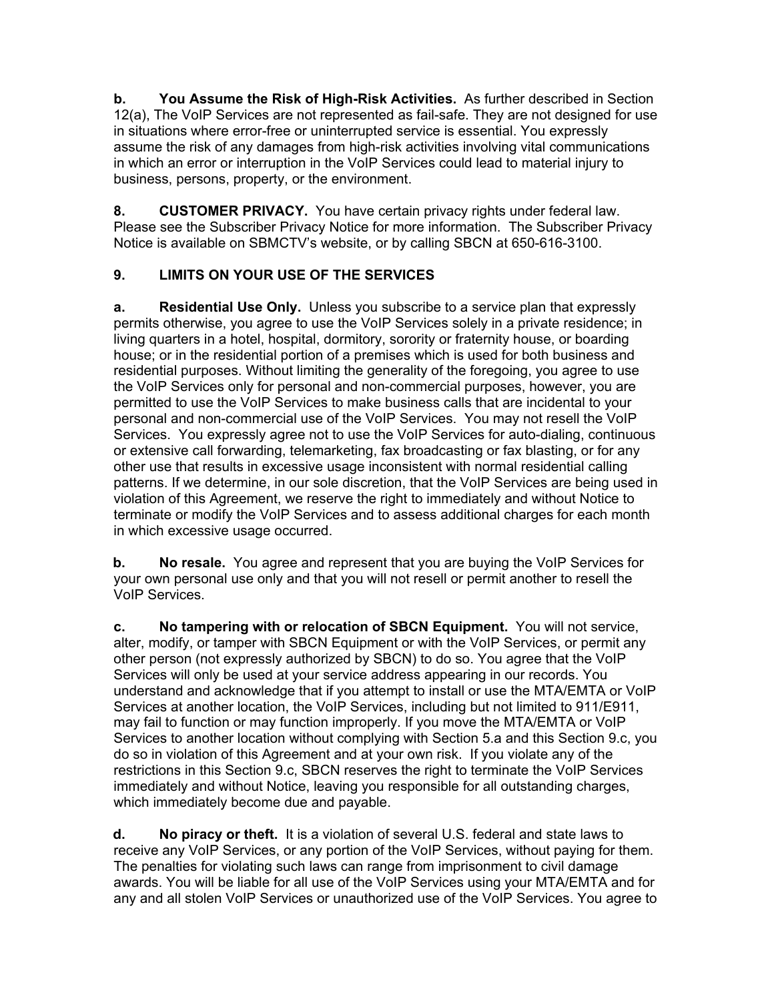**b. You Assume the Risk of High-Risk Activities.** As further described in Section 12(a), The VoIP Services are not represented as fail-safe. They are not designed for use in situations where error-free or uninterrupted service is essential. You expressly assume the risk of any damages from high-risk activities involving vital communications in which an error or interruption in the VoIP Services could lead to material injury to business, persons, property, or the environment.

**8. CUSTOMER PRIVACY.** You have certain privacy rights under federal law. Please see the Subscriber Privacy Notice for more information. The Subscriber Privacy Notice is available on SBMCTV's website, or by calling SBCN at 650-616-3100.

## **9. LIMITS ON YOUR USE OF THE SERVICES**

**a. Residential Use Only.** Unless you subscribe to a service plan that expressly permits otherwise, you agree to use the VoIP Services solely in a private residence; in living quarters in a hotel, hospital, dormitory, sorority or fraternity house, or boarding house; or in the residential portion of a premises which is used for both business and residential purposes. Without limiting the generality of the foregoing, you agree to use the VoIP Services only for personal and non-commercial purposes, however, you are permitted to use the VoIP Services to make business calls that are incidental to your personal and non-commercial use of the VoIP Services. You may not resell the VoIP Services. You expressly agree not to use the VoIP Services for auto-dialing, continuous or extensive call forwarding, telemarketing, fax broadcasting or fax blasting, or for any other use that results in excessive usage inconsistent with normal residential calling patterns. If we determine, in our sole discretion, that the VoIP Services are being used in violation of this Agreement, we reserve the right to immediately and without Notice to terminate or modify the VoIP Services and to assess additional charges for each month in which excessive usage occurred.

**b. No resale.** You agree and represent that you are buying the VoIP Services for your own personal use only and that you will not resell or permit another to resell the VoIP Services.

**c. No tampering with or relocation of SBCN Equipment.** You will not service, alter, modify, or tamper with SBCN Equipment or with the VoIP Services, or permit any other person (not expressly authorized by SBCN) to do so. You agree that the VoIP Services will only be used at your service address appearing in our records. You understand and acknowledge that if you attempt to install or use the MTA/EMTA or VoIP Services at another location, the VoIP Services, including but not limited to 911/E911, may fail to function or may function improperly. If you move the MTA/EMTA or VoIP Services to another location without complying with Section 5.a and this Section 9.c, you do so in violation of this Agreement and at your own risk. If you violate any of the restrictions in this Section 9.c, SBCN reserves the right to terminate the VoIP Services immediately and without Notice, leaving you responsible for all outstanding charges, which immediately become due and payable.

**d. No piracy or theft.** It is a violation of several U.S. federal and state laws to receive any VoIP Services, or any portion of the VoIP Services, without paying for them. The penalties for violating such laws can range from imprisonment to civil damage awards. You will be liable for all use of the VoIP Services using your MTA/EMTA and for any and all stolen VoIP Services or unauthorized use of the VoIP Services. You agree to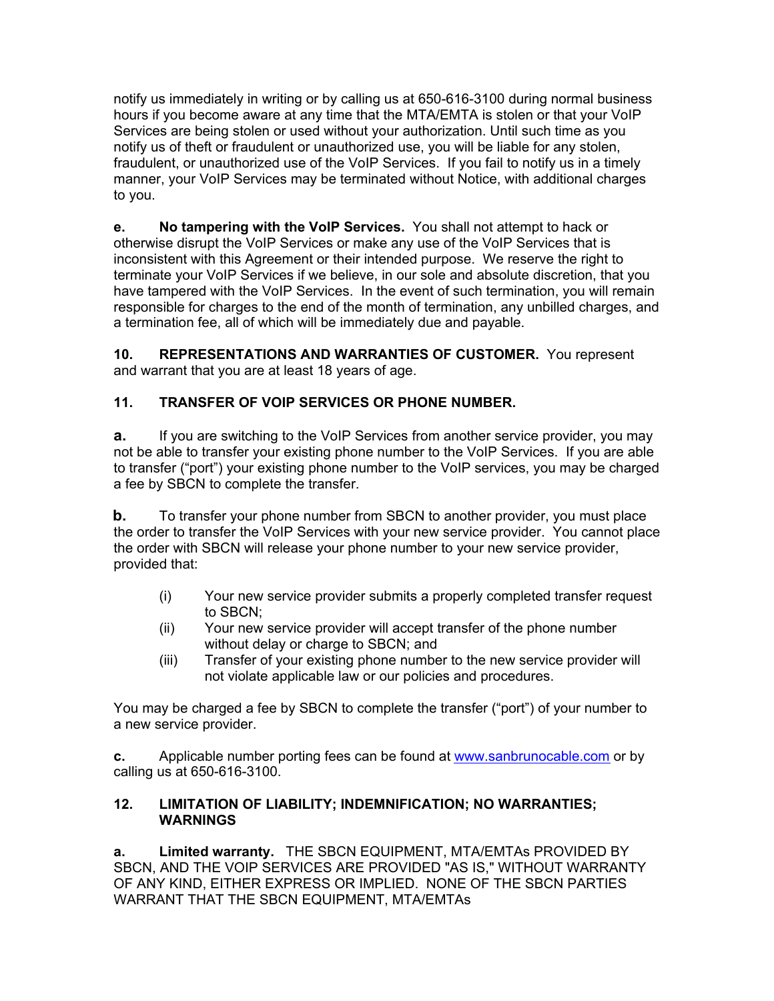notify us immediately in writing or by calling us at 650-616-3100 during normal business hours if you become aware at any time that the MTA/EMTA is stolen or that your VoIP Services are being stolen or used without your authorization. Until such time as you notify us of theft or fraudulent or unauthorized use, you will be liable for any stolen, fraudulent, or unauthorized use of the VoIP Services. If you fail to notify us in a timely manner, your VoIP Services may be terminated without Notice, with additional charges to you.

**e. No tampering with the VoIP Services.** You shall not attempt to hack or otherwise disrupt the VoIP Services or make any use of the VoIP Services that is inconsistent with this Agreement or their intended purpose. We reserve the right to terminate your VoIP Services if we believe, in our sole and absolute discretion, that you have tampered with the VoIP Services. In the event of such termination, you will remain responsible for charges to the end of the month of termination, any unbilled charges, and a termination fee, all of which will be immediately due and payable.

**10. REPRESENTATIONS AND WARRANTIES OF CUSTOMER.** You represent and warrant that you are at least 18 years of age.

## **11. TRANSFER OF VOIP SERVICES OR PHONE NUMBER.**

**a.** If you are switching to the VoIP Services from another service provider, you may not be able to transfer your existing phone number to the VoIP Services. If you are able to transfer ("port") your existing phone number to the VoIP services, you may be charged a fee by SBCN to complete the transfer.

**b.** To transfer your phone number from SBCN to another provider, you must place the order to transfer the VoIP Services with your new service provider. You cannot place the order with SBCN will release your phone number to your new service provider, provided that:

- (i) Your new service provider submits a properly completed transfer request to SBCN;
- (ii) Your new service provider will accept transfer of the phone number without delay or charge to SBCN; and
- (iii) Transfer of your existing phone number to the new service provider will not violate applicable law or our policies and procedures.

You may be charged a fee by SBCN to complete the transfer ("port") of your number to a new service provider.

**c.** Applicable number porting fees can be found at www.sanbrunocable.com or by calling us at 650-616-3100.

#### **12. LIMITATION OF LIABILITY; INDEMNIFICATION; NO WARRANTIES; WARNINGS**

**a. Limited warranty.** THE SBCN EQUIPMENT, MTA/EMTAs PROVIDED BY SBCN, AND THE VOIP SERVICES ARE PROVIDED "AS IS," WITHOUT WARRANTY OF ANY KIND, EITHER EXPRESS OR IMPLIED. NONE OF THE SBCN PARTIES WARRANT THAT THE SBCN EQUIPMENT, MTA/EMTAs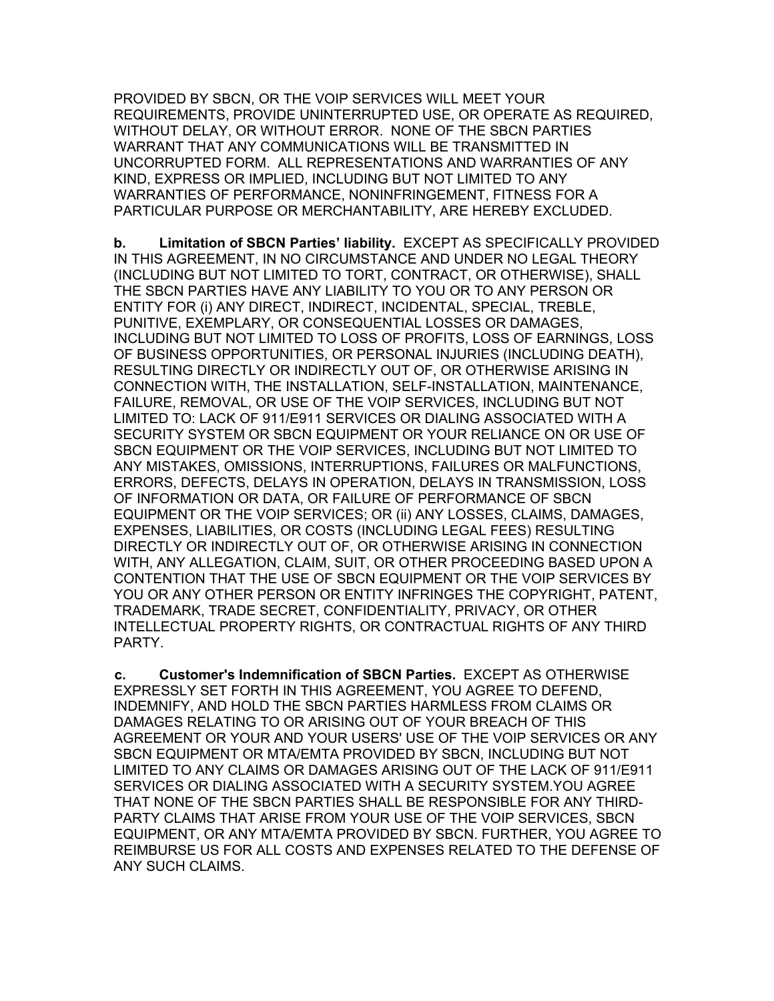PROVIDED BY SBCN, OR THE VOIP SERVICES WILL MEET YOUR REQUIREMENTS, PROVIDE UNINTERRUPTED USE, OR OPERATE AS REQUIRED, WITHOUT DELAY, OR WITHOUT ERROR. NONE OF THE SBCN PARTIES WARRANT THAT ANY COMMUNICATIONS WILL BE TRANSMITTED IN UNCORRUPTED FORM. ALL REPRESENTATIONS AND WARRANTIES OF ANY KIND, EXPRESS OR IMPLIED, INCLUDING BUT NOT LIMITED TO ANY WARRANTIES OF PERFORMANCE, NONINFRINGEMENT, FITNESS FOR A PARTICULAR PURPOSE OR MERCHANTABILITY, ARE HEREBY EXCLUDED.

**b. Limitation of SBCN Parties' liability.** EXCEPT AS SPECIFICALLY PROVIDED IN THIS AGREEMENT, IN NO CIRCUMSTANCE AND UNDER NO LEGAL THEORY (INCLUDING BUT NOT LIMITED TO TORT, CONTRACT, OR OTHERWISE), SHALL THE SBCN PARTIES HAVE ANY LIABILITY TO YOU OR TO ANY PERSON OR ENTITY FOR (i) ANY DIRECT, INDIRECT, INCIDENTAL, SPECIAL, TREBLE, PUNITIVE, EXEMPLARY, OR CONSEQUENTIAL LOSSES OR DAMAGES, INCLUDING BUT NOT LIMITED TO LOSS OF PROFITS, LOSS OF EARNINGS, LOSS OF BUSINESS OPPORTUNITIES, OR PERSONAL INJURIES (INCLUDING DEATH), RESULTING DIRECTLY OR INDIRECTLY OUT OF, OR OTHERWISE ARISING IN CONNECTION WITH, THE INSTALLATION, SELF-INSTALLATION, MAINTENANCE, FAILURE, REMOVAL, OR USE OF THE VOIP SERVICES, INCLUDING BUT NOT LIMITED TO: LACK OF 911/E911 SERVICES OR DIALING ASSOCIATED WITH A SECURITY SYSTEM OR SBCN EQUIPMENT OR YOUR RELIANCE ON OR USE OF SBCN EQUIPMENT OR THE VOIP SERVICES, INCLUDING BUT NOT LIMITED TO ANY MISTAKES, OMISSIONS, INTERRUPTIONS, FAILURES OR MALFUNCTIONS, ERRORS, DEFECTS, DELAYS IN OPERATION, DELAYS IN TRANSMISSION, LOSS OF INFORMATION OR DATA, OR FAILURE OF PERFORMANCE OF SBCN EQUIPMENT OR THE VOIP SERVICES; OR (ii) ANY LOSSES, CLAIMS, DAMAGES, EXPENSES, LIABILITIES, OR COSTS (INCLUDING LEGAL FEES) RESULTING DIRECTLY OR INDIRECTLY OUT OF, OR OTHERWISE ARISING IN CONNECTION WITH, ANY ALLEGATION, CLAIM, SUIT, OR OTHER PROCEEDING BASED UPON A CONTENTION THAT THE USE OF SBCN EQUIPMENT OR THE VOIP SERVICES BY YOU OR ANY OTHER PERSON OR ENTITY INFRINGES THE COPYRIGHT, PATENT, TRADEMARK, TRADE SECRET, CONFIDENTIALITY, PRIVACY, OR OTHER INTELLECTUAL PROPERTY RIGHTS, OR CONTRACTUAL RIGHTS OF ANY THIRD PARTY.

**c. Customer's Indemnification of SBCN Parties.** EXCEPT AS OTHERWISE EXPRESSLY SET FORTH IN THIS AGREEMENT, YOU AGREE TO DEFEND, INDEMNIFY, AND HOLD THE SBCN PARTIES HARMLESS FROM CLAIMS OR DAMAGES RELATING TO OR ARISING OUT OF YOUR BREACH OF THIS AGREEMENT OR YOUR AND YOUR USERS' USE OF THE VOIP SERVICES OR ANY SBCN EQUIPMENT OR MTA/EMTA PROVIDED BY SBCN, INCLUDING BUT NOT LIMITED TO ANY CLAIMS OR DAMAGES ARISING OUT OF THE LACK OF 911/E911 SERVICES OR DIALING ASSOCIATED WITH A SECURITY SYSTEM.YOU AGREE THAT NONE OF THE SBCN PARTIES SHALL BE RESPONSIBLE FOR ANY THIRD-PARTY CLAIMS THAT ARISE FROM YOUR USE OF THE VOIP SERVICES, SBCN EQUIPMENT, OR ANY MTA/EMTA PROVIDED BY SBCN. FURTHER, YOU AGREE TO REIMBURSE US FOR ALL COSTS AND EXPENSES RELATED TO THE DEFENSE OF ANY SUCH CLAIMS.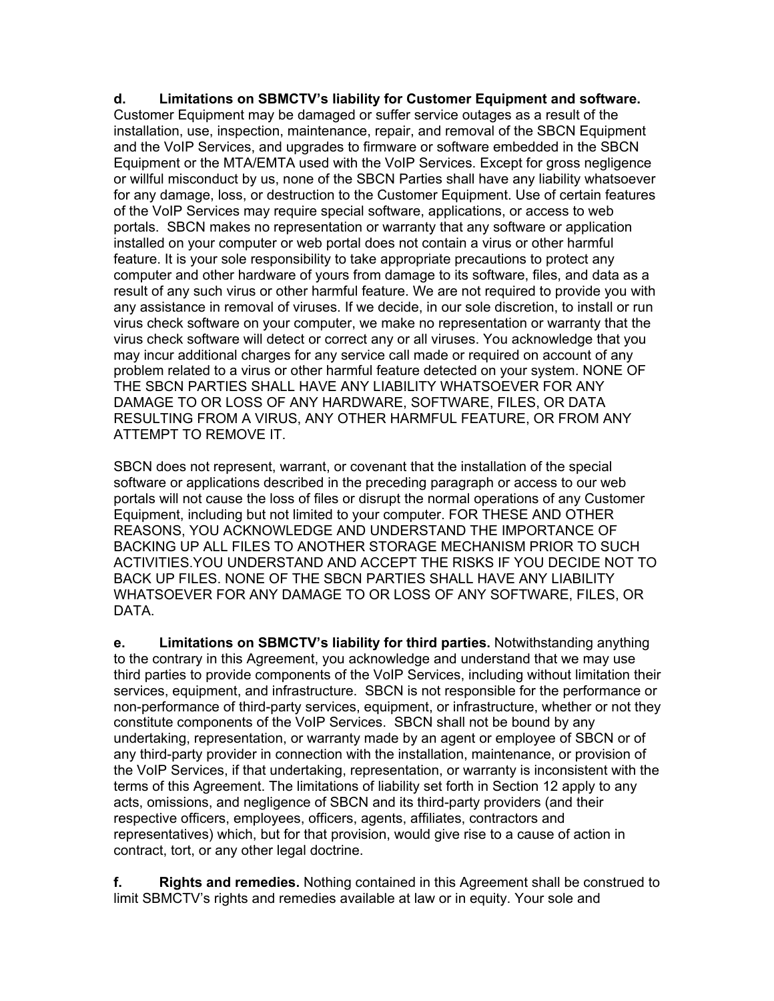**d. Limitations on SBMCTV's liability for Customer Equipment and software.** Customer Equipment may be damaged or suffer service outages as a result of the installation, use, inspection, maintenance, repair, and removal of the SBCN Equipment and the VoIP Services, and upgrades to firmware or software embedded in the SBCN Equipment or the MTA/EMTA used with the VoIP Services. Except for gross negligence or willful misconduct by us, none of the SBCN Parties shall have any liability whatsoever for any damage, loss, or destruction to the Customer Equipment. Use of certain features of the VoIP Services may require special software, applications, or access to web portals. SBCN makes no representation or warranty that any software or application installed on your computer or web portal does not contain a virus or other harmful feature. It is your sole responsibility to take appropriate precautions to protect any computer and other hardware of yours from damage to its software, files, and data as a result of any such virus or other harmful feature. We are not required to provide you with any assistance in removal of viruses. If we decide, in our sole discretion, to install or run virus check software on your computer, we make no representation or warranty that the virus check software will detect or correct any or all viruses. You acknowledge that you may incur additional charges for any service call made or required on account of any problem related to a virus or other harmful feature detected on your system. NONE OF THE SBCN PARTIES SHALL HAVE ANY LIABILITY WHATSOEVER FOR ANY DAMAGE TO OR LOSS OF ANY HARDWARE, SOFTWARE, FILES, OR DATA RESULTING FROM A VIRUS, ANY OTHER HARMFUL FEATURE, OR FROM ANY ATTEMPT TO REMOVE IT.

SBCN does not represent, warrant, or covenant that the installation of the special software or applications described in the preceding paragraph or access to our web portals will not cause the loss of files or disrupt the normal operations of any Customer Equipment, including but not limited to your computer. FOR THESE AND OTHER REASONS, YOU ACKNOWLEDGE AND UNDERSTAND THE IMPORTANCE OF BACKING UP ALL FILES TO ANOTHER STORAGE MECHANISM PRIOR TO SUCH ACTIVITIES.YOU UNDERSTAND AND ACCEPT THE RISKS IF YOU DECIDE NOT TO BACK UP FILES. NONE OF THE SBCN PARTIES SHALL HAVE ANY LIABILITY WHATSOEVER FOR ANY DAMAGE TO OR LOSS OF ANY SOFTWARE, FILES, OR DATA.

**e. Limitations on SBMCTV's liability for third parties.** Notwithstanding anything to the contrary in this Agreement, you acknowledge and understand that we may use third parties to provide components of the VoIP Services, including without limitation their services, equipment, and infrastructure. SBCN is not responsible for the performance or non-performance of third-party services, equipment, or infrastructure, whether or not they constitute components of the VoIP Services. SBCN shall not be bound by any undertaking, representation, or warranty made by an agent or employee of SBCN or of any third-party provider in connection with the installation, maintenance, or provision of the VoIP Services, if that undertaking, representation, or warranty is inconsistent with the terms of this Agreement. The limitations of liability set forth in Section 12 apply to any acts, omissions, and negligence of SBCN and its third-party providers (and their respective officers, employees, officers, agents, affiliates, contractors and representatives) which, but for that provision, would give rise to a cause of action in contract, tort, or any other legal doctrine.

**f. Rights and remedies.** Nothing contained in this Agreement shall be construed to limit SBMCTV's rights and remedies available at law or in equity. Your sole and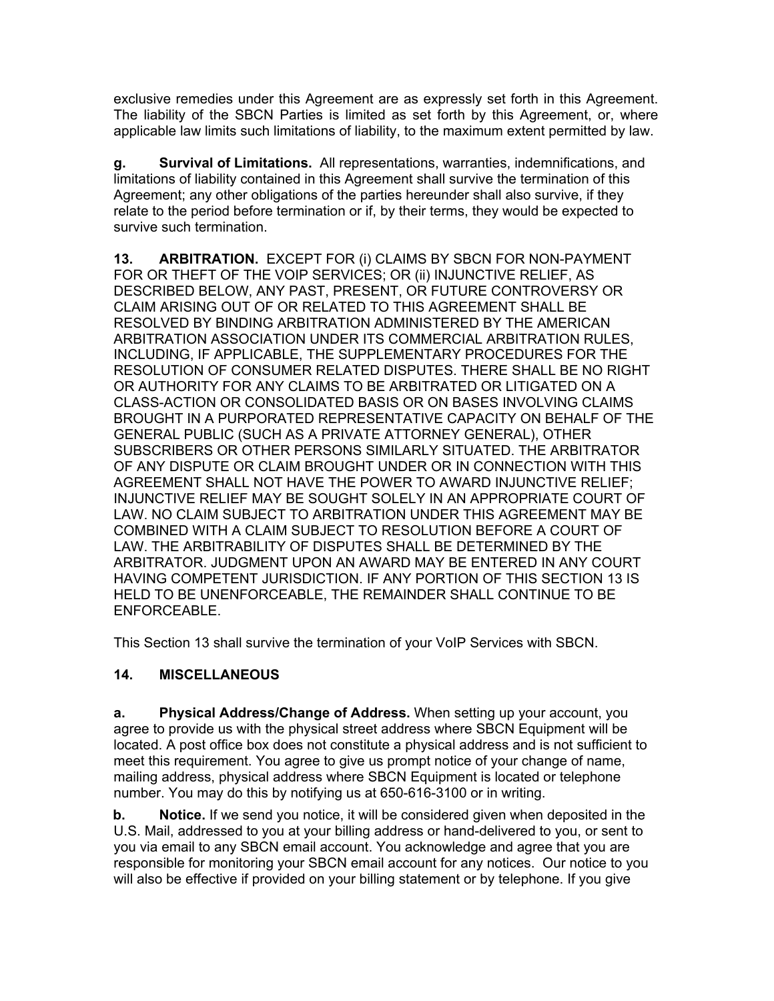exclusive remedies under this Agreement are as expressly set forth in this Agreement. The liability of the SBCN Parties is limited as set forth by this Agreement, or, where applicable law limits such limitations of liability, to the maximum extent permitted by law.

**g. Survival of Limitations.** All representations, warranties, indemnifications, and limitations of liability contained in this Agreement shall survive the termination of this Agreement; any other obligations of the parties hereunder shall also survive, if they relate to the period before termination or if, by their terms, they would be expected to survive such termination.

**13. ARBITRATION.** EXCEPT FOR (i) CLAIMS BY SBCN FOR NON-PAYMENT FOR OR THEFT OF THE VOIP SERVICES; OR (ii) INJUNCTIVE RELIEF, AS DESCRIBED BELOW, ANY PAST, PRESENT, OR FUTURE CONTROVERSY OR CLAIM ARISING OUT OF OR RELATED TO THIS AGREEMENT SHALL BE RESOLVED BY BINDING ARBITRATION ADMINISTERED BY THE AMERICAN ARBITRATION ASSOCIATION UNDER ITS COMMERCIAL ARBITRATION RULES, INCLUDING, IF APPLICABLE, THE SUPPLEMENTARY PROCEDURES FOR THE RESOLUTION OF CONSUMER RELATED DISPUTES. THERE SHALL BE NO RIGHT OR AUTHORITY FOR ANY CLAIMS TO BE ARBITRATED OR LITIGATED ON A CLASS-ACTION OR CONSOLIDATED BASIS OR ON BASES INVOLVING CLAIMS BROUGHT IN A PURPORATED REPRESENTATIVE CAPACITY ON BEHALF OF THE GENERAL PUBLIC (SUCH AS A PRIVATE ATTORNEY GENERAL), OTHER SUBSCRIBERS OR OTHER PERSONS SIMILARLY SITUATED. THE ARBITRATOR OF ANY DISPUTE OR CLAIM BROUGHT UNDER OR IN CONNECTION WITH THIS AGREEMENT SHALL NOT HAVE THE POWER TO AWARD INJUNCTIVE RELIEF; INJUNCTIVE RELIEF MAY BE SOUGHT SOLELY IN AN APPROPRIATE COURT OF LAW. NO CLAIM SUBJECT TO ARBITRATION UNDER THIS AGREEMENT MAY BE COMBINED WITH A CLAIM SUBJECT TO RESOLUTION BEFORE A COURT OF LAW. THE ARBITRABILITY OF DISPUTES SHALL BE DETERMINED BY THE ARBITRATOR. JUDGMENT UPON AN AWARD MAY BE ENTERED IN ANY COURT HAVING COMPETENT JURISDICTION. IF ANY PORTION OF THIS SECTION 13 IS HELD TO BE UNENFORCEABLE, THE REMAINDER SHALL CONTINUE TO BE ENFORCEABLE.

This Section 13 shall survive the termination of your VoIP Services with SBCN.

## **14. MISCELLANEOUS**

**a. Physical Address/Change of Address.** When setting up your account, you agree to provide us with the physical street address where SBCN Equipment will be located. A post office box does not constitute a physical address and is not sufficient to meet this requirement. You agree to give us prompt notice of your change of name, mailing address, physical address where SBCN Equipment is located or telephone number. You may do this by notifying us at 650-616-3100 or in writing.

**b. Notice.** If we send you notice, it will be considered given when deposited in the U.S. Mail, addressed to you at your billing address or hand-delivered to you, or sent to you via email to any SBCN email account. You acknowledge and agree that you are responsible for monitoring your SBCN email account for any notices. Our notice to you will also be effective if provided on your billing statement or by telephone. If you give